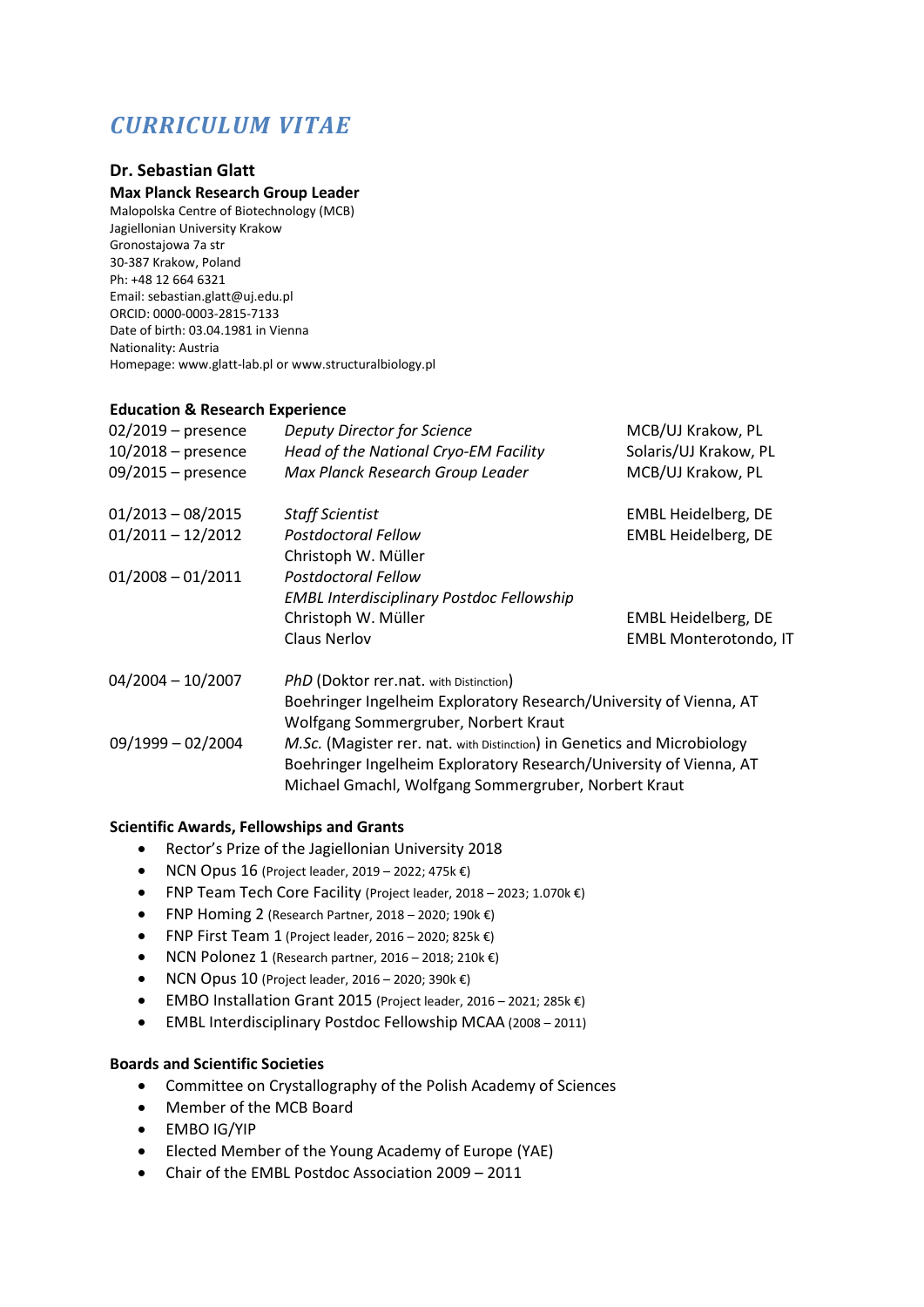# *CURRICULUM VITAE*

## **Dr. Sebastian Glatt**

### **Max Planck Research Group Leader**

Malopolska Centre of Biotechnology (MCB) Jagiellonian University Krakow Gronostajowa 7a str 30-387 Krakow, Poland Ph: +48 12 664 6321 Email[: sebastian.glatt@uj.edu.pl](mailto:sebastian.glatt@uj.edu.pl) ORCID: 0000-0003-2815-7133 Date of birth: 03.04.1981 in Vienna Nationality: Austria Homepage: www.glatt-lab.pl or www.structuralbiology.pl

#### **Education & Research Experience**

| $02/2019$ – presence | <b>Deputy Director for Science</b>                                       | MCB/UJ Krakow, PL            |
|----------------------|--------------------------------------------------------------------------|------------------------------|
| $10/2018$ – presence | Head of the National Cryo-EM Facility                                    | Solaris/UJ Krakow, PL        |
| $09/2015$ – presence | Max Planck Research Group Leader                                         | MCB/UJ Krakow, PL            |
| $01/2013 - 08/2015$  | <b>Staff Scientist</b>                                                   | <b>EMBL Heidelberg, DE</b>   |
| $01/2011 - 12/2012$  | Postdoctoral Fellow                                                      | <b>EMBL Heidelberg, DE</b>   |
|                      | Christoph W. Müller                                                      |                              |
| $01/2008 - 01/2011$  | Postdoctoral Fellow                                                      |                              |
|                      | <b>EMBL Interdisciplinary Postdoc Fellowship</b>                         |                              |
|                      | Christoph W. Müller                                                      | <b>EMBL Heidelberg, DE</b>   |
|                      | Claus Nerlov                                                             | <b>EMBL Monterotondo, IT</b> |
| $04/2004 - 10/2007$  | PhD (Doktor rer.nat. with Distinction)                                   |                              |
|                      | Boehringer Ingelheim Exploratory Research/University of Vienna, AT       |                              |
|                      | Wolfgang Sommergruber, Norbert Kraut                                     |                              |
| $09/1999 - 02/2004$  | M.Sc. (Magister rer. nat. with Distinction) in Genetics and Microbiology |                              |

Boehringer Ingelheim Exploratory Research/University of Vienna, AT

Michael Gmachl, Wolfgang Sommergruber, Norbert Kraut

## **Scientific Awards, Fellowships and Grants**

- Rector's Prize of the Jagiellonian University 2018
- NCN Opus 16 (Project leader, 2019 2022; 475k €)
- FNP Team Tech Core Facility (Project leader, 2018 2023; 1.070k €)
- FNP Homing 2 (Research Partner, 2018 2020; 190 $k \in$ )
- FNP First Team 1 (Project leader, 2016 2020; 825 $k \in$ )
- NCN Polonez 1 (Research partner, 2016 2018; 210 $k \in$ )
- NCN Opus 10 (Project leader, 2016 2020; 390k €)
- EMBO Installation Grant 2015 (Project leader, 2016 2021; 285k €)
- EMBL Interdisciplinary Postdoc Fellowship MCAA (2008 2011)

#### **Boards and Scientific Societies**

- Committee on Crystallography of the Polish Academy of Sciences
- Member of the MCB Board
- EMBO IG/YIP
- Elected Member of the Young Academy of Europe (YAE)
- Chair of the EMBL Postdoc Association 2009 2011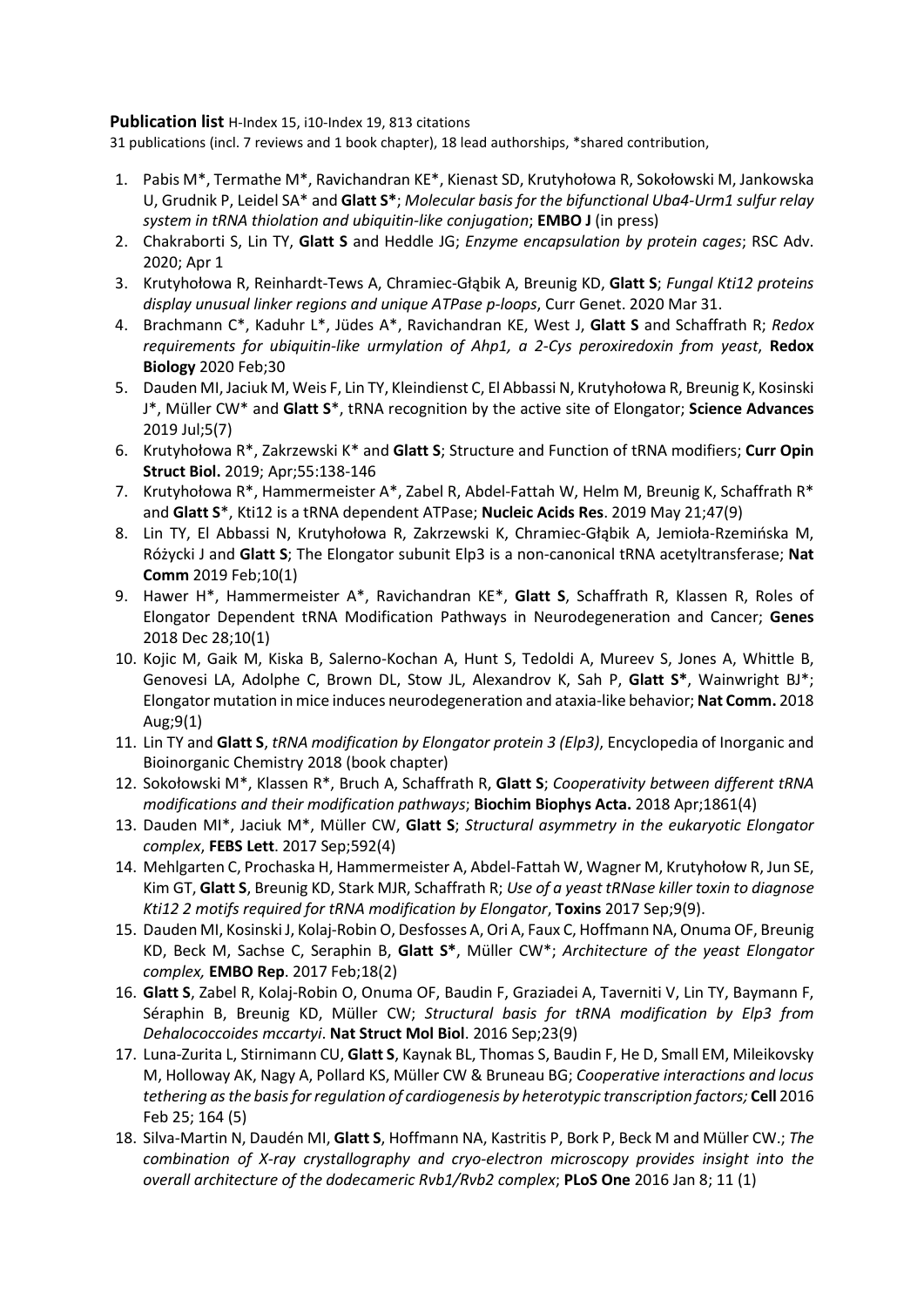## **Publication list** H-Index 15, i10-Index 19, 813 citations

31 publications (incl. 7 reviews and 1 book chapter), 18 lead authorships, \*shared contribution,

- 1. Pabis M\*, Termathe M\*, Ravichandran KE\*, Kienast SD, Krutyhołowa R, Sokołowski M, Jankowska U, Grudnik P, Leidel SA\* and **Glatt S\***; *Molecular basis for the bifunctional Uba4-Urm1 sulfur relay system in tRNA thiolation and ubiquitin-like conjugation*; **EMBO J** (in press)
- 2. Chakraborti S, Lin TY, **Glatt S** and Heddle JG; *Enzyme encapsulation by protein cages*; RSC Adv. 2020; Apr 1
- 3. Krutyhołowa R, Reinhardt-Tews A, Chramiec-Głąbik A, Breunig KD, **Glatt S**; *Fungal Kti12 proteins display unusual linker regions and unique ATPase p-loops*, Curr Genet. 2020 Mar 31.
- 4. Brachmann C\*, Kaduhr L\*, Jüdes A\*, Ravichandran KE, West J, **Glatt S** and Schaffrath R; *Redox requirements for ubiquitin-like urmylation of Ahp1, a 2-Cys peroxiredoxin from yeast*, **Redox Biology** 2020 Feb;30
- 5. Dauden MI, Jaciuk M, Weis F, Lin TY, Kleindienst C, El Abbassi N, Krutyhołowa R, Breunig K, Kosinski J\*, Müller CW\* and **Glatt S**\*, tRNA recognition by the active site of Elongator; **Science Advances** 2019 Jul;5(7)
- 6. Krutyhołowa R\*, Zakrzewski K\* and **Glatt S**; Structure and Function of tRNA modifiers; **Curr Opin Struct Biol.** 2019; Apr;55:138-146
- 7. Krutyhołowa R\*, Hammermeister A\*, Zabel R, Abdel-Fattah W, Helm M, Breunig K, Schaffrath R\* and **Glatt S**\*, Kti12 is a tRNA dependent ATPase; **Nucleic Acids Res**. 2019 May 21;47(9)
- 8. Lin TY, El Abbassi N, Krutyhołowa R, Zakrzewski K, Chramiec-Głąbik A, Jemioła-Rzemińska M, Różycki J and **Glatt S**; The Elongator subunit Elp3 is a non-canonical tRNA acetyltransferase; **Nat Comm** 2019 Feb;10(1)
- 9. Hawer H\*, Hammermeister A\*, Ravichandran KE\*, **Glatt S**, Schaffrath R, Klassen R, Roles of Elongator Dependent tRNA Modification Pathways in Neurodegeneration and Cancer; **Genes** 2018 Dec 28;10(1)
- 10. Kojic M, Gaik M, Kiska B, Salerno-Kochan A, Hunt S, Tedoldi A, Mureev S, Jones A, Whittle B, Genovesi LA, Adolphe C, Brown DL, Stow JL, Alexandrov K, Sah P, **Glatt S\***, Wainwright BJ\*; Elongator mutation in mice induces neurodegeneration and ataxia-like behavior; **Nat Comm.** 2018 Aug;9(1)
- 11. Lin TY and **Glatt S**, *tRNA modification by Elongator protein 3 (Elp3)*, Encyclopedia of Inorganic and Bioinorganic Chemistry 2018 (book chapter)
- 12. Sokołowski M\*, Klassen R\*, Bruch A, Schaffrath R, **Glatt S**; *Cooperativity between different tRNA modifications and their modification pathways*; **Biochim Biophys Acta.** 2018 Apr;1861(4)
- 13. Dauden MI\*, Jaciuk M\*, Müller CW, **Glatt S**; *Structural asymmetry in the eukaryotic Elongator complex*, **FEBS Lett**. 2017 Sep;592(4)
- 14. Mehlgarten C, Prochaska H, Hammermeister A, Abdel-Fattah W, Wagner M, Krutyhołow R, Jun SE, Kim GT, **Glatt S**, Breunig KD, Stark MJR, Schaffrath R; *Use of a yeast tRNase killer toxin to diagnose Kti12 2 motifs required for tRNA modification by Elongator*, **Toxins** 2017 Sep;9(9).
- 15. Dauden MI, Kosinski J, Kolaj-Robin O, Desfosses A, Ori A, Faux C, Hoffmann NA, Onuma OF, Breunig KD, Beck M, Sachse C, Seraphin B, **Glatt S\***, Müller CW\*; *Architecture of the yeast Elongator complex,* **EMBO Rep**. 2017 Feb;18(2)
- 16. **Glatt S**, Zabel R, Kolaj-Robin O, Onuma OF, Baudin F, Graziadei A, Taverniti V, Lin TY, Baymann F, Séraphin B, Breunig KD, Müller CW; *Structural basis for tRNA modification by Elp3 from Dehalococcoides mccartyi*. **Nat Struct Mol Biol**. 2016 Sep;23(9)
- 17. Luna-Zurita L, Stirnimann CU, **Glatt S**, Kaynak BL, Thomas S, Baudin F, He D, Small EM, Mileikovsky M, Holloway AK, Nagy A, Pollard KS, Müller CW & Bruneau BG; *Cooperative interactions and locus tethering as the basis for regulation of cardiogenesis by heterotypic transcription factors;* **Cell** 2016 Feb 25; 164 (5)
- 18. Silva-Martin N, Daudén MI, **Glatt S**, Hoffmann NA, Kastritis P, Bork P, Beck M and Müller CW.; *The combination of X-ray crystallography and cryo-electron microscopy provides insight into the overall architecture of the dodecameric Rvb1/Rvb2 complex*; **PLoS One** 2016 Jan 8; 11 (1)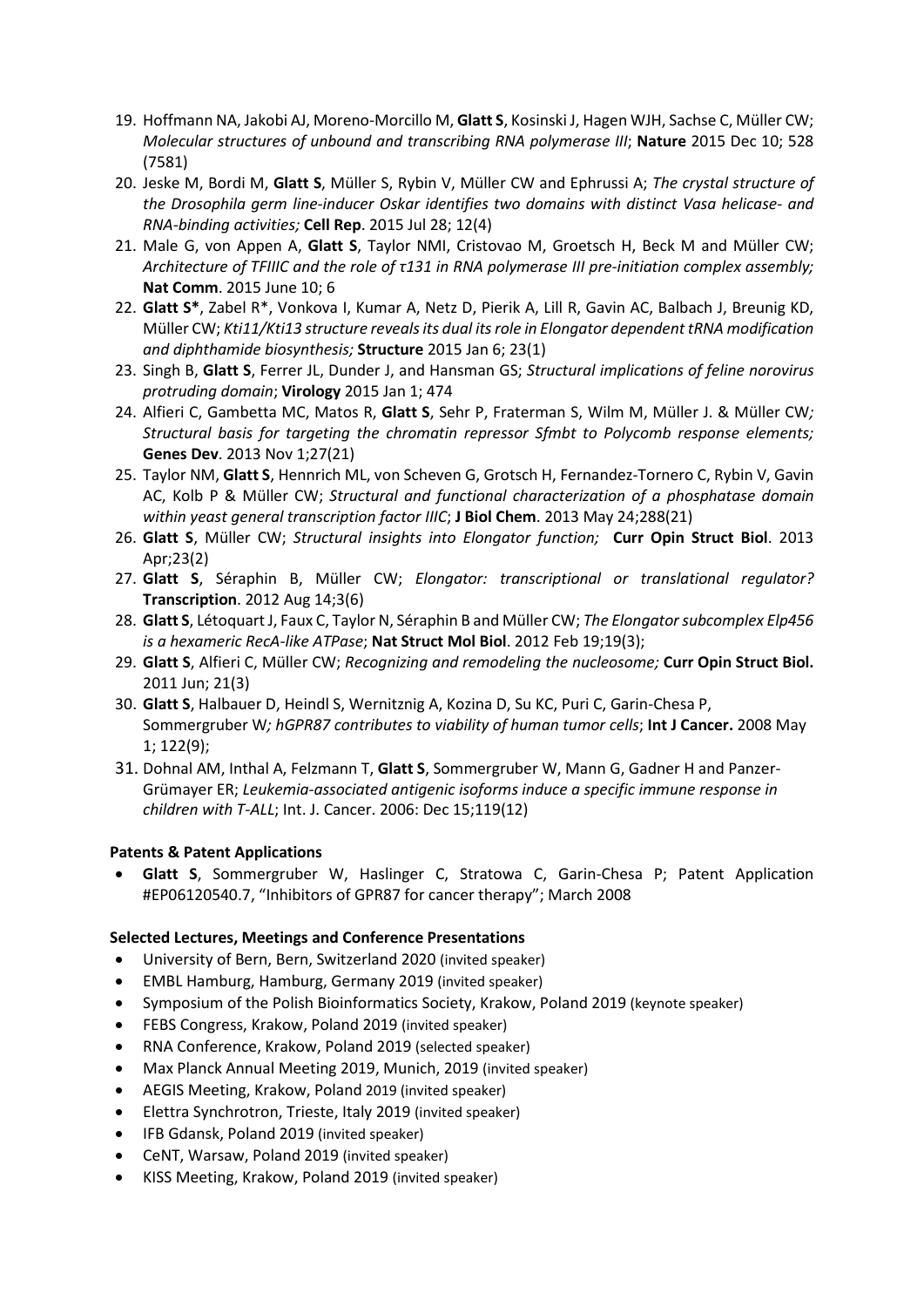- 19. Hoffmann NA, Jakobi AJ, Moreno-Morcillo M, **Glatt S**, Kosinski J, Hagen WJH, Sachse C, Müller CW; *Molecular structures of unbound and transcribing RNA polymerase III*; **Nature** 2015 Dec 10; 528 (7581)
- 20. Jeske M, Bordi M, **Glatt S**, Müller S, Rybin V, Müller CW and Ephrussi A; *The crystal structure of the Drosophila germ line-inducer Oskar identifies two domains with distinct Vasa helicase- and RNA-binding activities;* **Cell Rep**. 2015 Jul 28; 12(4)
- 21. Male G, von Appen A, **Glatt S**, Taylor NMI, Cristovao M, Groetsch H, Beck M and Müller CW; *Architecture of TFIIIC and the role of τ131 in RNA polymerase III pre-initiation complex assembly;* **Nat Comm**. 2015 June 10; 6
- 22. **Glatt S\***, Zabel R\*, Vonkova I, Kumar A, Netz D, Pierik A, Lill R, Gavin AC, Balbach J, Breunig KD, Müller CW; *Kti11/Kti13 structure reveals its dual its role in Elongator dependent tRNA modification and diphthamide biosynthesis;* **Structure** 2015 Jan 6; 23(1)
- 23. Singh B, **Glatt S**, Ferrer JL, Dunder J, and Hansman GS; *Structural implications of feline norovirus protruding domain*; **Virology** 2015 Jan 1; 474
- 24. Alfieri C, Gambetta MC, Matos R, **Glatt S**, Sehr P, Fraterman S, Wilm M, Müller J. & Müller CW*; Structural basis for targeting the chromatin repressor Sfmbt to Polycomb response elements;*  **Genes Dev**. 2013 Nov 1;27(21)
- 25. Taylor NM, **Glatt S**, Hennrich ML, von Scheven G, Grotsch H, Fernandez-Tornero C, Rybin V, Gavin AC, Kolb P & Müller CW; *Structural and functional characterization of a phosphatase domain within yeast general transcription factor IIIC*; **J Biol Chem**. 2013 May 24;288(21)
- 26. **Glatt S**, Müller CW; *[Structural insights into Elongator function;](http://www.ncbi.nlm.nih.gov/pubmed/22889844)* **Curr Opin Struct Biol**. 2013 Apr;23(2)
- 27. **Glatt S**, Séraphin B, Müller CW; *[Elongator: transcriptional or](http://www.ncbi.nlm.nih.gov/pubmed/22889844) translational regulator?* **Transcription**. 2012 Aug 14;3(6)
- 28. **Glatt S**, Létoquart J, Faux C, Taylor N, Séraphin B and Müller CW; *The Elongator subcomplex Elp456 is a hexameric RecA-like ATPase*; **Nat Struct Mol Biol**. 2012 Feb 19;19(3);
- 29. **Glatt S**, Alfieri C, Müller CW; *Recognizing and remodeling the nucleosome;* **Curr Opin Struct Biol.** 2011 Jun; 21(3)
- 30. **Glatt S**, Halbauer D, Heindl S, Wernitznig A, Kozina D, Su KC, Puri C, Garin-Chesa P, Sommergruber W*; hGPR87 contributes to viability of human tumor cells*; **Int J Cancer.** 2008 May 1; 122(9);
- 31. Dohnal AM, Inthal A, Felzmann T, **Glatt S**, Sommergruber W, Mann G, Gadner H and Panzer-Grümayer ER; *Leukemia-associated antigenic isoforms induce a specific immune response in children with T-ALL*; Int. J. Cancer. 2006: Dec 15;119(12)

## **Patents & Patent Applications**

• **Glatt S**, Sommergruber W, Haslinger C, Stratowa C, Garin-Chesa P; Patent Application #EP06120540.7, "Inhibitors of GPR87 for cancer therapy"; March 2008

## **Selected Lectures, Meetings and Conference Presentations**

- University of Bern, Bern, Switzerland 2020 (invited speaker)
- EMBL Hamburg, Hamburg, Germany 2019 (invited speaker)
- Symposium of the Polish Bioinformatics Society, Krakow, Poland 2019 (keynote speaker)
- FEBS Congress, Krakow, Poland 2019 (invited speaker)
- RNA Conference, Krakow, Poland 2019 (selected speaker)
- Max Planck Annual Meeting 2019, Munich, 2019 (invited speaker)
- AEGIS Meeting, Krakow, Poland 2019 (invited speaker)
- Elettra Synchrotron, Trieste, Italy 2019 (invited speaker)
- IFB Gdansk, Poland 2019 (invited speaker)
- CeNT, Warsaw, Poland 2019 (invited speaker)
- KISS Meeting, Krakow, Poland 2019 (invited speaker)